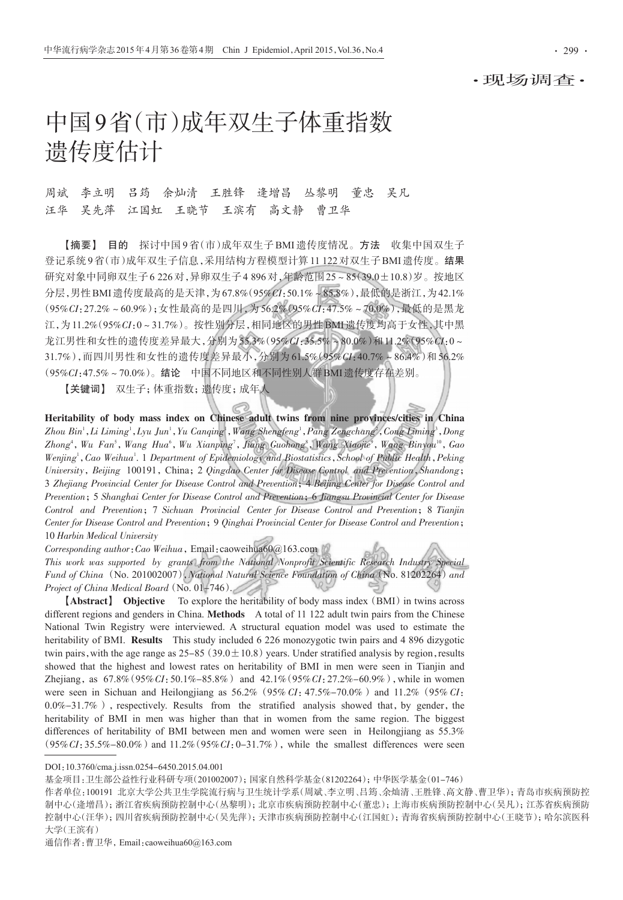### ·现场调查·

# 中国9省(市)成年双生子体重指数 遗传度估计

## 周斌 李立明 吕筠 余灿清 王胜锋 逄增昌 丛黎明 董忠 吴凡 汪华 吴先萍 江国虹 王晓节 王滨有 高文静 曹卫华

【摘要】 目的 探讨中国 9 省(市)成年双生子 BMI 遗传度情况。方法 收集中国双生子 登记系统9省(市)成年双生子信息,采用结构方程模型计算11 122对双生子BMI遗传度。结果 研究对象中同卵双生子6 226对,异卵双生子4 896对,年龄范围25~85(39.0±10.8)岁。按地区 分层,男性BMI遗传度最高的是天津,为67.8%(95%CI:50.1%~85.8%),最低的是浙江,为42.1% (95%CI:27.2%~60.9%);女性最高的是四川,为 56.2%(95%CI:47.5%~70.0%),最低的是黑龙 江,为11.2%(95%CI:0~31.7%)。按性别分层,相同地区的男性BMI遗传度均高于女性,其中黑 龙江男性和女性的遗传度差异最大,分别为55.3%(95%CI:35.5%~80.0%)和11.2%(95%CI:0~ 31.7%),而四川男性和女性的遗传度差异最小,分别为 61.5%(95%CI:40.7%~86.4%)和 56.2% (95%CI:47.5%~70.0%)。结论 中国不同地区和不同性别人群BMI遗传度存在差别。

【关键词】 双生子;体重指数;遗传度;成年人

Heritability of body mass index on Chinese adult twins from nine provinces/cities in China Zhou Bin' , Li Liming' , Lyu Jun' , Yu Canqing' , Wang Shengfeng' , Pang Zengchang<sup>2</sup> , Cong Liming' , Dong Zhong<sup>4</sup>, Wu Fan<sup>s</sup>, Wang Hua<sup>6</sup>, Wu Xianping<sup>7</sup>, Jiang Guohong<sup>8</sup>, Wang Xiaojie<sup>9</sup>, Wang Binyou<sup>10</sup>, Gao Wenjing<sup>1</sup>, Cao Weihua<sup>1</sup>. 1 Department of Epidemiology and Biostatistics, School of Public Health, Peking University, Beijing 100191, China; 2 Qingdao Center for Disease Control and Prevention, Shandong; 3 Zhejiang Provincial Center for Disease Control and Prevention; 4 Beijing Center for Disease Control and Prevention;5 Shanghai Center for Disease Control and Prevention;6 Jiangsu Provincial Center for Disease Control and Prevention;7 Sichuan Provincial Center for Disease Control and Prevention;8 Tianjin Center for Disease Control and Prevention;9 Qinghai Provincial Center for Disease Control and Prevention; 10 Harbin Medical University

Corresponding author: Cao Weihua, Email: caoweihua60@163.com

This work was supported by grants from the National Nonprofit Scientific Research Industry Special Fund of China (No. 201002007), National Natural Science Foundation of China (No. 81202264) and Project of China Medical Board (No. 01-746).

**[Abstract]** Objective To explore the heritability of body mass index (BMI) in twins across different regions and genders in China. Methods A total of 11 122 adult twin pairs from the Chinese National Twin Registry were interviewed. A structural equation model was used to estimate the heritability of BMI. Results This study included 6 226 monozygotic twin pairs and 4 896 dizygotic twin pairs, with the age range as  $25-85(39.0 \pm 10.8)$  years. Under stratified analysis by region, results showed that the highest and lowest rates on heritability of BMI in men were seen in Tianjin and Zhejiang, as  $67.8\%$  (95%CI:50.1%-85.8%) and  $42.1\%$  (95%CI:27.2%-60.9%), while in women were seen in Sichuan and Heilongjiang as  $56.2\%$  (95% CI:47.5%-70.0%) and 11.2% (95% CI:  $0.0\% -31.7\%$ ), respectively. Results from the stratified analysis showed that, by gender, the heritability of BMI in men was higher than that in women from the same region. The biggest differences of heritability of BMI between men and women were seen in Heilongjiang as 55.3%  $(95\%CI: 35.5\% - 80.0\%)$  and  $11.2\%$  (95% $CI: 0-31.7\%$ ), while the smallest differences were seen

基金项目:卫生部公益性行业科研专项(201002007);国家自然科学基金(81202264);中华医学基金(01-746)

通信作者:曹卫华,Email:caoweihua60@163.com

DOI:10.3760/cma.j.issn.0254-6450.2015.04.001

作者单位:100191 北京大学公共卫生学院流行病与卫生统计学系(周斌、李立明、吕筠、余灿清、王胜锋、高文静、曹卫华);青岛市疾病预防控 制中心(逄增昌);浙江省疾病预防控制中心(丛黎明);北京市疾病预防控制中心(董忠);上海市疾病预防控制中心(吴凡);江苏省疾病预防 控制中心(汪华);四川省疾病预防控制中心(吴先萍);天津市疾病预防控制中心(江国虹);青海省疾病预防控制中心(王晓节);哈尔滨医科 大学(王滨有)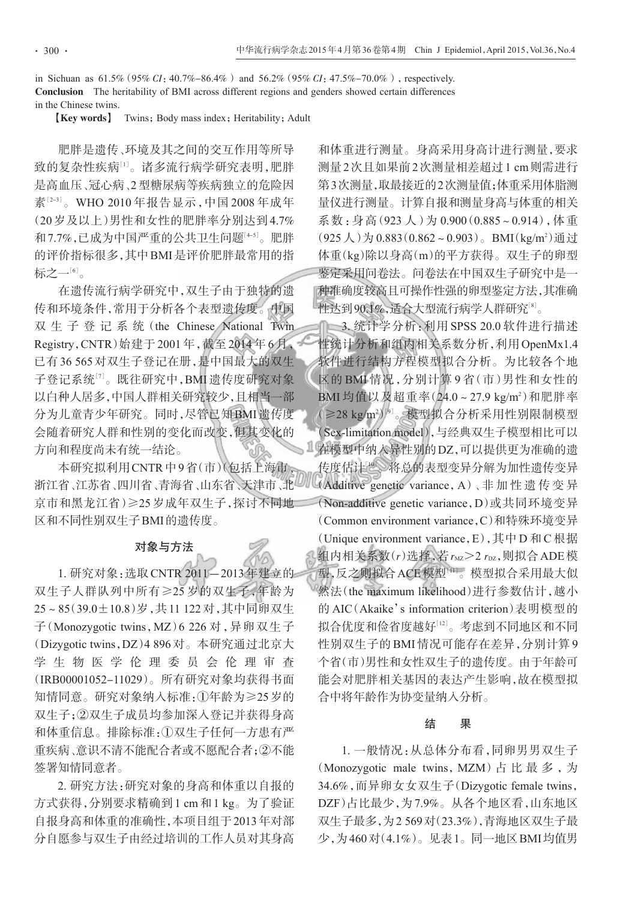in Sichuan as  $61.5\%$  (95% CI:  $40.7\% - 86.4\%$ ) and  $56.2\%$  (95% CI:  $47.5\% - 70.0\%$ ), respectively. Conclusion The heritability of BMI across different regions and genders showed certain differences in the Chinese twins.

**[Key words]** Twins; Body mass index; Heritability; Adult

肥胖是遗传、环境及其之间的交互作用等所导 致的复杂性疾病"<sup>」</sup>。诸多流行病学研究表明,肥胖 是高血压、冠心病、2型糖尿病等疾病独立的危险因 素'2-3'。WHO 2010年报告显示 ,中国 2008年成年 (20岁及以上)男性和女性的肥胖率分别达到4.7% 和7.7%,已成为中国严重的公共卫生问题[<sup>4</sup>-5] 。肥胖 的评价指标很多,其中BMI是评价肥胖最常用的指 标之一<sup>[6]</sup>。

在遗传流行病学研究中,双生子由于独特的遗 传和环境条件,常用于分析各个表型遗传度。中国 双 生 子 登 记 系 统(the Chinese National Twin Registry,CNTR)始建于 2001 年,截至 2014 年 6 月, 已有36 565对双生子登记在册,是中国最大的双生 子登记系统四。既往研究中,BMI 遗传度研究对象 以白种人居多,中国人群相关研究较少,且相当一部 分为儿童青少年研究。同时,尽管已知BMI遗传度 会随着研究人群和性别的变化而改变,但其变化的 方向和程度尚未有统一结论。

本研究拟利用CNTR中9省(市)(包括上海市、 浙江省、江苏省、四川省、青海省、山东省、天津市、北 京市和黑龙江省)≥25 岁成年双生子,探讨不同地 区和不同性别双生子BMI的遗传度。

#### 对象与方法

1. 研究对象:选取CNTR 2011-2013年建立的 双生子人群队列中所有≥25 岁的双生子,年龄为 25~85(39.0±10.8)岁,共11 122对,其中同卵双生 子(Monozygotic twins,MZ)6 226 对,异卵双生子 (Dizygotic twins,DZ)4 896对。本研究通过北京大 学 生 物 医 学 伦 理 委 员 会 伦 理 审 查 (IRB00001052-11029)。所有研究对象均获得书面 知情同意。研究对象纳入标准:①年龄为≥25岁的 双生子;②双生子成员均参加深入登记并获得身高 和体重信息。排除标准:①双生子任何一方患有严 重疾病、意识不清不能配合者或不愿配合者;②不能 签署知情同意者。

2. 研究方法:研究对象的身高和体重以自报的 方式获得,分别要求精确到1 cm和1 kg。为了验证 自报身高和体重的准确性,本项目组于2013年对部 分自愿参与双生子由经过培训的工作人员对其身高

和体重进行测量。身高采用身高计进行测量,要求 测量2次且如果前2次测量相差超过1 cm则需进行 第3次测量,取最接近的2次测量值;体重采用体脂测 量仪进行测量。计算自报和测量身高与体重的相关 系数:身高(923 人)为 0.900(0.885~0.914),体重  $(925 \text{ }\bigwedge)$ 为 0.883 $(0.862 \sim 0.903)$ 。BMI $(kg/m^2)$ 通过 体重(kg)除以身高(m)的平方获得。双生子的卵型 鉴定采用问卷法。问卷法在中国双生子研究中是一 种准确度较高且可操作性强的卵型鉴定方法,其准确 性达到90.1%,适合大型流行病学人群研究'<sup>8</sup>。

□ 3. 统计学分析: 利用 SPSS 20.0 软件进行描述 性统计分析和组内相关系数分析,利用OpenMx1.4 软件进行结构方程模型拟合分析。为比较各个地 区的 BMI 情况,分别计算 9 省(市)男性和女性的 BMI 均值以及超重率(24.0~27.9 kg/m<sup>2</sup>)和肥胖率 ((≥28 kg/m²))®。模型拟合分析采用性别限制模型 (Sex-limitation model),与经典双生子模型相比可以 在模型中纳入异性别的DZ,可以提供更为准确的遗 传度估计[<sup>10</sup>] 。将总的表型变异分解为加性遗传变异 (Additive genetic variance,A)、非 加 性 遗 传 变 异 (Non-additive genetic variance,D)或共同环境变异 (Common environment variance,C)和特殊环境变异 (Unique environment variance,E),其中 D 和 C 根据 组内相关系数 $(r)$ 选择,若 $r_{\text{MZ}}$  $>$ 2 $r_{\text{DZ}}$ ,则拟合 ADE模 型,反之则拟合ACE模型[<sup>11</sup>] 。模型拟合采用最大似 然法(the maximum likelihood)进行参数估计,越小 的 AIC(Akaike's information criterion)表明模型的 拟合优度和俭省度越好''2'。考虑到不同地区和不同 性别双生子的BMI情况可能存在差异,分别计算9 个省(市)男性和女性双生子的遗传度。由于年龄可 能会对肥胖相关基因的表达产生影响,故在模型拟 合中将年龄作为协变量纳入分析。

#### 结 果

1. 一般情况:从总体分布看,同卵男男双生子 (Monozygotic male twins, MZM) 占 比 最 多, 为 34.6%,而异卵女女双生子(Dizygotic female twins, DZF)占比最少,为7.9%。从各个地区看,山东地区 双生子最多,为2 569对(23.3%),青海地区双生子最 少,为460对(4.1%)。见表1。同一地区BMI均值男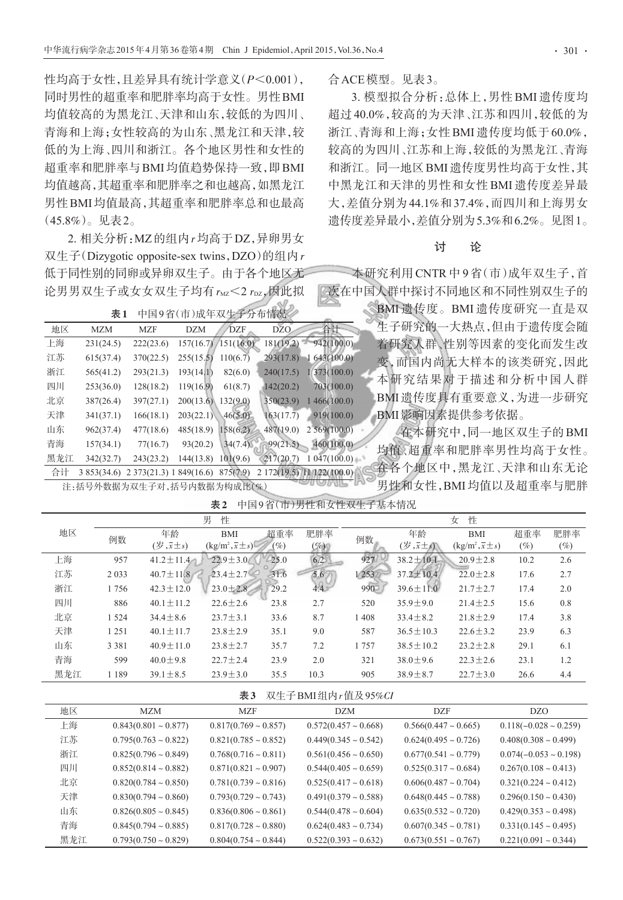性均高于女性,且差异具有统计学意义(P<0.001), 同时男性的超重率和肥胖率均高于女性。男性BMI 均值较高的为黑龙江、天津和山东,较低的为四川、 青海和上海;女性较高的为山东、黑龙江和天津,较 低的为上海、四川和浙江。各个地区男性和女性的 超重率和肥胖率与BMI均值趋势保持一致,即BMI 均值越高,其超重率和肥胖率之和也越高,如黑龙江 男性BMI均值最高,其超重率和肥胖率总和也最高 (45.8%)。见表2。

2. 相关分析:MZ的组内r均高于DZ,异卵男女 双生子(Dizygotic opposite-sex twins,DZO)的组内r 低于同性别的同卵或异卵双生子。由于各个地区无 论男男双生子或女女双生子均有 $r_{\rm MZ}$ <2 $r_{\rm DZ}$ ,因此拟

注:括号外数据为双生子对,括号内数据为构成比(%)

表1 中国9省(市)成年双生子分布情况

| 地区  | <b>MZM</b> | <b>MZF</b>            | <b>DZM</b> | <b>DZF</b>          | <b>DZO</b> | 合计                        |
|-----|------------|-----------------------|------------|---------------------|------------|---------------------------|
| 上海  | 231(24.5)  | 222(23.6)             |            | 157(16.7)/151(16.0) | 181(19.2)  | 942(100.0)                |
| 江苏  | 615(37.4)  | 370(22.5)             | 255(15.5)  | 110(6.7)            | 293(17.8)  | 643(100.0)                |
| 浙江  | 565(41.2)  | 293(21.3)             | 193(14.1)  | 82(6.0)             | 240(17.5)  | 1/373(100.0)              |
| 四川  | 253(36.0)  | 128(18.2)             | 119(16.9)  | 61(8.7)             | 142(20.2)  | 703(100.0)                |
| 北京  | 387(26.4)  | 397(27.1)             | 200(13.6)  | 132(9.0)            | 350(23.9)  | 1466(100.0)               |
| 天津  | 341(37.1)  | 166(18.1)             | 203(22.1)  | 46(5.0)             | 163(17.7)  | 919(100.0)                |
| 山东  | 962(37.4)  | 477(18.6)             | 485(18.9)  | 158(6.2)            | 487(19.0)  | 2569(100.0)               |
| 青海  | 157(34.1)  | 77(16.7)              | 93(20.2)   | 34(7.4)             | 99(21.5)   | 460(100.0)                |
| 黑龙江 | 342(32.7)  | 243(23.2)             | 144(13.8)  | 101(9.6)            | 217(20.7)  | 1047(100.0)               |
| 合计  | 3853(34.6) | 2373(21.3) 1849(16.6) |            | 875(7.9)            |            | 2 172(19.5) 11 122(100.0) |

合ACE模型。见表3。

3. 模型拟合分析:总体上,男性 BMI 遗传度均 超过 40.0%,较高的为天津、江苏和四川,较低的为 浙江、青海和上海;女性BMI遗传度均低于60.0%, 较高的为四川、江苏和上海,较低的为黑龙江、青海 和浙江。同一地区BMI遗传度男性均高于女性,其 中黑龙江和天津的男性和女性 BMI 遗传度差异最 大,差值分别为44.1%和37.4%,而四川和上海男女 遗传度差异最小,差值分别为5.3%和6.2%。见图1。

### 讨 论

本研究利用 CNTR 中 9 省(市)成年双生子,首 2次在中国人群中探讨不同地区和不同性别双生子的

> BMI 遗传度。BMI 遗传度研究一直是双 生子研究的一大热点,但由于遗传度会随 着研究人群、性别等因素的变化而发生改 变,而国内尚无大样本的该类研究,因此 本研究结果对于描述和分析中国人群 BMI遗传度具有重要意义,为进一步研究 BMI影响因素提供参考依据。

在本研究中,同一地区双生子的BMI 均值、超重率和肥胖率男性均高于女性。 在各个地区中,黑龙江、天津和山东无论 男性和女性,BMI均值以及超重率与肥胖

|     | 男<br>性  |                                                 |                                       |         | 女<br>性   |         |                                                |                                       |      |        |
|-----|---------|-------------------------------------------------|---------------------------------------|---------|----------|---------|------------------------------------------------|---------------------------------------|------|--------|
| 地区  | 例数      | 年龄                                              | <b>BMI</b>                            | 超重率     | 肥胖率      | 例数      | 年龄                                             | <b>BMI</b>                            | 超重率  | 肥胖率    |
|     |         | $(\overline{\overline{x}}, \overline{x} \pm s)$ | $(\text{kg/m}^2, \overline{x} \pm s)$ | $(\%)$  | $(\%)_1$ |         | $(\overline{\mathscr{B}}, \overline{x} \pm s)$ | $(\text{kg/m}^2, \overline{x} \pm s)$ | (%)  | $(\%)$ |
| 上海  | 957     | $41.2 \pm 11.4$                                 | $22.9 \pm 3.0$                        | $-25.0$ | 6.2      | 927     | $38.2 \pm 10.1$                                | $20.9 \pm 2.8$                        | 10.2 | 2.6    |
| 江苏  | 2 0 3 3 | $40.7 \pm 11.8$                                 | $23.4 \pm 2.7$                        | 31.6    | 5.6'     | 1/253   | $37.2 \pm 10.4$                                | $22.0 \pm 2.8$                        | 17.6 | 2.7    |
| 浙江  | 1756    | $42.3 \pm 12.0$                                 | $23.0 \pm 2.8$                        | 29.2    | 44.5     | $990^-$ | $39.6 \pm 11.0$                                | $21.7 \pm 2.7$                        | 17.4 | 2.0    |
| 四川  | 886     | $40.1 \pm 11.2$                                 | $22.6 \pm 2.6$                        | 23.8    | 2.7      | 520     | $35.9 \pm 9.0$                                 | $21.4 \pm 2.5$                        | 15.6 | 0.8    |
| 北京  | 1 5 2 4 | $34.4 \pm 8.6$                                  | $23.7 \pm 3.1$                        | 33.6    | 8.7      | 1408    | $33.4 \pm 8.2$                                 | $21.8 \pm 2.9$                        | 17.4 | 3.8    |
| 天津  | 1 2 5 1 | $40.1 \pm 11.7$                                 | $23.8 \pm 2.9$                        | 35.1    | 9.0      | 587     | $36.5 \pm 10.3$                                | $22.6 \pm 3.2$                        | 23.9 | 6.3    |
| 山东  | 3 3 8 1 | $40.9 \pm 11.0$                                 | $23.8 \pm 2.7$                        | 35.7    | 7.2      | 1757    | $38.5 \pm 10.2$                                | $23.2 \pm 2.8$                        | 29.1 | 6.1    |
| 青海  | 599     | $40.0 \pm 9.8$                                  | $22.7 \pm 2.4$                        | 23.9    | 2.0      | 321     | $38.0 \pm 9.6$                                 | $22.3 \pm 2.6$                        | 23.1 | 1.2    |
| 黑龙江 | 1 1 8 9 | $39.1 \pm 8.5$                                  | $23.9 \pm 3.0$                        | 35.5    | 10.3     | 905     | $38.9 \pm 8.7$                                 | $22.7 \pm 3.0$                        | 26.6 | 4.4    |

表2 中国9省(市)男性和女性双生子基本情况

表3 双生子BMI组内r值及95%CI

| 地区  | <b>MZM</b>                | <b>MZF</b>                | DZM                       | DZF                       | DZ <sub>O</sub>            |
|-----|---------------------------|---------------------------|---------------------------|---------------------------|----------------------------|
| 上海  | $0.843(0.801 \sim 0.877)$ | $0.817(0.769 \sim 0.857)$ | $0.572(0.457 \sim 0.668)$ | $0.566(0.447 \sim 0.665)$ | $0.118(-0.028 \sim 0.259)$ |
| 江苏  | $0.795(0.763 \sim 0.822)$ | $0.821(0.785 \sim 0.852)$ | $0.449(0.345 \sim 0.542)$ | $0.624(0.495 \sim 0.726)$ | $0.408(0.308 \sim 0.499)$  |
| 浙江  | $0.825(0.796 \sim 0.849)$ | $0.768(0.716 \sim 0.811)$ | $0.561(0.456 \sim 0.650)$ | $0.677(0.541 \sim 0.779)$ | $0.074(-0.053 \sim 0.198)$ |
| 四川  | $0.852(0.814 \sim 0.882)$ | $0.871(0.821 \sim 0.907)$ | $0.544(0.405 \sim 0.659)$ | $0.525(0.317 \sim 0.684)$ | $0.267(0.108 \sim 0.413)$  |
| 北京  | $0.820(0.784 \sim 0.850)$ | $0.781(0.739 \sim 0.816)$ | $0.525(0.417 \sim 0.618)$ | $0.606(0.487 \sim 0.704)$ | $0.321(0.224 \sim 0.412)$  |
| 天津  | $0.830(0.794 \sim 0.860)$ | $0.793(0.729 \sim 0.743)$ | $0.491(0.379 \sim 0.588)$ | $0.648(0.445 \sim 0.788)$ | $0.296(0.150 \sim 0.430)$  |
| 山东  | $0.826(0.805 \sim 0.845)$ | $0.836(0.806 \sim 0.861)$ | $0.544(0.478 \sim 0.604)$ | $0.635(0.532 \sim 0.720)$ | $0.429(0.353 \sim 0.498)$  |
| 青海  | $0.845(0.794 \sim 0.885)$ | $0.817(0.728 \sim 0.880)$ | $0.624(0.483 \sim 0.734)$ | $0.607(0.345 \sim 0.781)$ | $0.331(0.145 \sim 0.495)$  |
| 黑龙江 | $0.793(0.750 \sim 0.829)$ | $0.804(0.754 \sim 0.844)$ | $0.522(0.393 \sim 0.632)$ | $0.673(0.551 \sim 0.767)$ | $0.221(0.091 \sim 0.344)$  |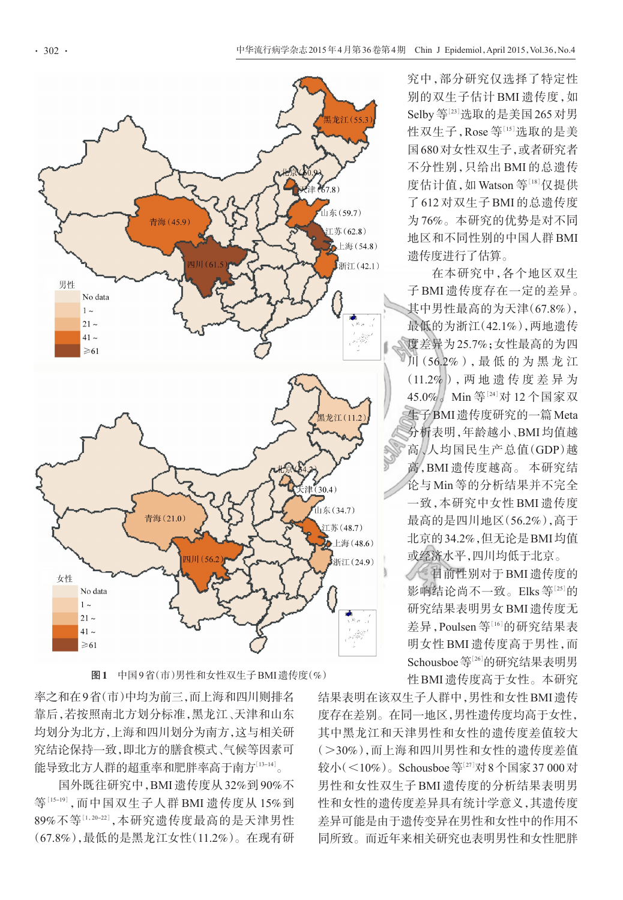

图1 中国9省(市)男性和女性双生子BMI遗传度(%)

率之和在9省(市)中均为前三,而上海和四川则排名 靠后,若按照南北方划分标准,黑龙江、天津和山东 均划分为北方,上海和四川划分为南方,这与相关研 究结论保持一致,即北方的膳食模式、气候等因素可 能导致北方人群的超重率和肥胖率高于南方[<sup>13</sup>-14] 。

国外既往研究中,BMI遗传度从32%到90%不 等[<sup>15</sup>-<sup>19</sup>],而中国双生子人群 BMI 遗传度从 15%到 89%不等[1,20-22],本研究遗传度最高的是天津男性 (67.8%),最低的是黑龙江女性(11.2%)。在现有研 究中,部分研究仅选择了特定性 别的双生子估计 BMI 遗传度,如 Selby等[<sup>23</sup>] 选取的是美国265对男 性双生子,Rose 等[15]选取的是美 国680对女性双生子,或者研究者 不分性别,只给出 BMI 的总遗传 度估计值,如 Watson 等[18]仅提供 了 612 对双生子 BMI 的总遗传度 为 76%。本研究的优势是对不同 地区和不同性别的中国人群BMI 遗传度进行了估算。

在本研究中,各个地区双生 子 BMI 遗传度存在一定的差异。 其中男性最高的为天津(67.8%), 最低的为浙江(42.1%),两地遗传 度差异为25.7%;女性最高的为四 川(56.2%),最 低 的 为 黑 龙 江 (11.2%),两 地 遗 传 度 差 异 为 45.0% / Min 等<sup>[24]</sup>对 12 个国家双 生子BMI遗传度研究的一篇Meta 分析表明,年龄越小、BMI均值越 高、人均国民生产总值(GDP)越 高,BMI 遗传度越高。 本研究结 论与 Min 等的分析结果并不完全 一致,本研究中女性 BMI 遗传度 最高的是四川地区(56.2%),高于 北京的34.2%,但无论是BMI均值 或经济水平,四川均低于北京。

目前性别对于BMI遗传度的 影响结论尚不一致。Elks 等<sup>[25]</sup>的 研究结果表明男女BMI遗传度无 差异,Poulsen等[16]的研究结果表 明女性 BMI 遗传度高于男性,而 Schousboe 等[26]的研究结果表明男 性BMI遗传度高于女性。本研究

结果表明在该双生子人群中,男性和女性BMI遗传 度存在差别。在同一地区,男性遗传度均高于女性, 其中黑龙江和天津男性和女性的遗传度差值较大 (>30%),而上海和四川男性和女性的遗传度差值 较小( <10% )。Schousboe 等[27]对 8 个国家 37 000 对 男性和女性双生子 BMI 遗传度的分析结果表明男 性和女性的遗传度差异具有统计学意义,其遗传度 差异可能是由于遗传变异在男性和女性中的作用不 同所致。而近年来相关研究也表明男性和女性肥胖